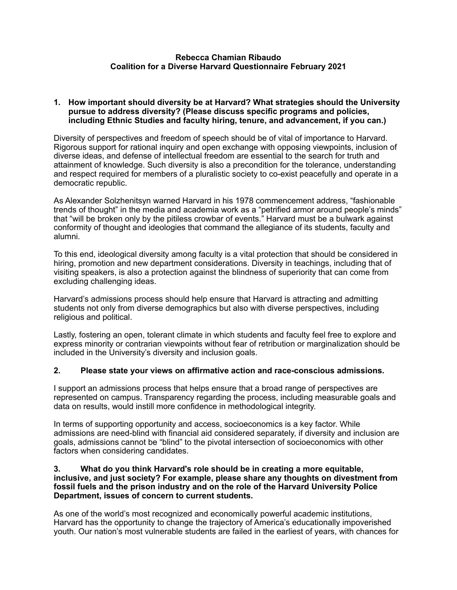### **Rebecca Chamian Ribaudo Coalition for a Diverse Harvard Questionnaire February 2021**

### **1. How important should diversity be at Harvard? What strategies should the University pursue to address diversity? (Please discuss specific programs and policies, including Ethnic Studies and faculty hiring, tenure, and advancement, if you can.)**

Diversity of perspectives and freedom of speech should be of vital of importance to Harvard. Rigorous support for rational inquiry and open exchange with opposing viewpoints, inclusion of diverse ideas, and defense of intellectual freedom are essential to the search for truth and attainment of knowledge. Such diversity is also a precondition for the tolerance, understanding and respect required for members of a pluralistic society to co-exist peacefully and operate in a democratic republic.

As Alexander Solzhenitsyn warned Harvard in his 1978 commencement address, "fashionable trends of thought" in the media and academia work as a "petrified armor around people's minds" that "will be broken only by the pitiless crowbar of events." Harvard must be a bulwark against conformity of thought and ideologies that command the allegiance of its students, faculty and alumni.

To this end, ideological diversity among faculty is a vital protection that should be considered in hiring, promotion and new department considerations. Diversity in teachings, including that of visiting speakers, is also a protection against the blindness of superiority that can come from excluding challenging ideas.

Harvard's admissions process should help ensure that Harvard is attracting and admitting students not only from diverse demographics but also with diverse perspectives, including religious and political.

Lastly, fostering an open, tolerant climate in which students and faculty feel free to explore and express minority or contrarian viewpoints without fear of retribution or marginalization should be included in the University's diversity and inclusion goals.

### **2. Please state your views on affirmative action and race-conscious admissions.**

I support an admissions process that helps ensure that a broad range of perspectives are represented on campus. Transparency regarding the process, including measurable goals and data on results, would instill more confidence in methodological integrity.

In terms of supporting opportunity and access, socioeconomics is a key factor. While admissions are need-blind with financial aid considered separately, if diversity and inclusion are goals, admissions cannot be "blind" to the pivotal intersection of socioeconomics with other factors when considering candidates.

### **3. What do you think Harvard's role should be in creating a more equitable, inclusive, and just society? For example, please share any thoughts on divestment from fossil fuels and the prison industry and on the role of the Harvard University Police Department, issues of concern to current students.**

As one of the world's most recognized and economically powerful academic institutions, Harvard has the opportunity to change the trajectory of America's educationally impoverished youth. Our nation's most vulnerable students are failed in the earliest of years, with chances for